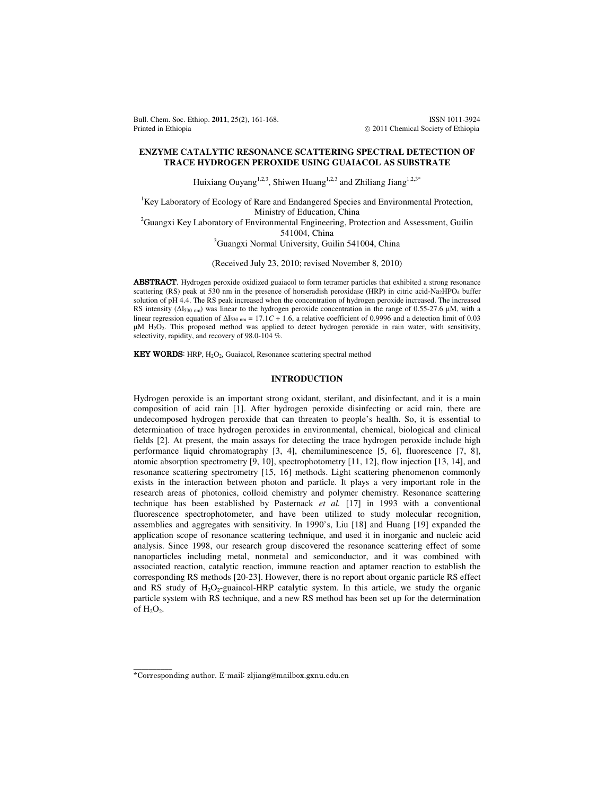Bull. Chem. Soc. Ethiop. **2011**, 25(2), 161-168. ISSN 1011-3924 Printed in Ethiopia **2011** Chemical Society of Ethiopia **2011** Chemical Society of Ethiopia

# **ENZYME CATALYTIC RESONANCE SCATTERING SPECTRAL DETECTION OF TRACE HYDROGEN PEROXIDE USING GUAIACOL AS SUBSTRATE**

Huixiang Ouyang<sup>1,2,3</sup>, Shiwen Huang<sup>1,2,3</sup> and Zhiliang Jiang<sup>1,2,3\*</sup>

<sup>1</sup>Key Laboratory of Ecology of Rare and Endangered Species and Environmental Protection, Ministry of Education, China <sup>2</sup>Guangxi Key Laboratory of Environmental Engineering, Protection and Assessment, Guilin 541004, China

<sup>3</sup>Guangxi Normal University, Guilin 541004, China

(Received July 23, 2010; revised November 8, 2010)

ABSTRACT. Hydrogen peroxide oxidized guaiacol to form tetramer particles that exhibited a strong resonance scattering (RS) peak at 530 nm in the presence of horseradish peroxidase (HRP) in citric acid-Na<sub>2</sub>HPO<sub>4</sub> buffer solution of pH 4.4. The RS peak increased when the concentration of hydrogen peroxide increased. The increased RS intensity (∆I530 nm) was linear to the hydrogen peroxide concentration in the range of 0.55-27.6 µM, with a linear regression equation of  $\Delta I_{530 \text{ nm}} = 17.1C + 1.6$ , a relative coefficient of 0.9996 and a detection limit of 0.03 µM H<sub>2</sub>O<sub>2</sub>. This proposed method was applied to detect hydrogen peroxide in rain water, with sensitivity, selectivity, rapidity, and recovery of 98.0-104 %.

KEY WORDS: HRP, H<sub>2</sub>O<sub>2</sub>, Guaiacol, Resonance scattering spectral method

# **INTRODUCTION**

Hydrogen peroxide is an important strong oxidant, sterilant, and disinfectant, and it is a main composition of acid rain [1]. After hydrogen peroxide disinfecting or acid rain, there are undecomposed hydrogen peroxide that can threaten to people's health. So, it is essential to determination of trace hydrogen peroxides in environmental, chemical, biological and clinical fields [2]. At present, the main assays for detecting the trace hydrogen peroxide include high performance liquid chromatography [3, 4], chemiluminescence [5, 6], fluorescence [7, 8], atomic absorption spectrometry [9, 10], spectrophotometry [11, 12], flow injection [13, 14], and resonance scattering spectrometry [15, 16] methods. Light scattering phenomenon commonly exists in the interaction between photon and particle. It plays a very important role in the research areas of photonics, colloid chemistry and polymer chemistry. Resonance scattering technique has been established by Pasternack *et al.* [17] in 1993 with a conventional fluorescence spectrophotometer, and have been utilized to study molecular recognition, assemblies and aggregates with sensitivity. In 1990's, Liu [18] and Huang [19] expanded the application scope of resonance scattering technique, and used it in inorganic and nucleic acid analysis. Since 1998, our research group discovered the resonance scattering effect of some nanoparticles including metal, nonmetal and semiconductor, and it was combined with associated reaction, catalytic reaction, immune reaction and aptamer reaction to establish the corresponding RS methods [20-23]. However, there is no report about organic particle RS effect and RS study of  $H_2O_2$ -guaiacol-HRP catalytic system. In this article, we study the organic particle system with RS technique, and a new RS method has been set up for the determination of  $H_2O_2$ .

 $\overline{\phantom{a}}$ 

<sup>\*</sup>Corresponding author. E-mail: zljiang@mailbox.gxnu.edu.cn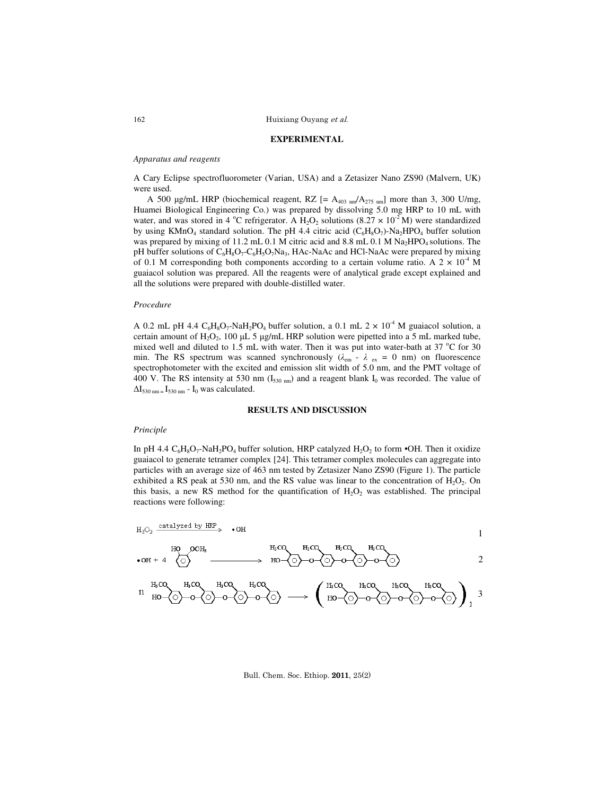# **EXPERIMENTAL**

# *Apparatus and reagents*

A Cary Eclipse spectrofluorometer (Varian, USA) and a Zetasizer Nano ZS90 (Malvern, UK) were used.

A 500 µg/mL HRP (biochemical reagent, RZ  $[= A_{403 \text{ nm}}/A_{275 \text{ nm}}]$  more than 3, 300 U/mg, Huamei Biological Engineering Co.) was prepared by dissolving 5.0 mg HRP to 10 mL with water, and was stored in 4 °C refrigerator. A  $H_2O_2$  solutions (8.27  $\times$  10<sup>-2</sup> M) were standardized by using KMnO<sub>4</sub> standard solution. The pH 4.4 citric acid  $(C_6H_8O_7)$ -Na<sub>2</sub>HPO<sub>4</sub> buffer solution was prepared by mixing of 11.2 mL 0.1 M citric acid and 8.8 mL 0.1 M Na<sub>2</sub>HPO<sub>4</sub> solutions. The pH buffer solutions of  $C_6H_8O_7-C_6H_5O_7Na_3$ , HAc-NaAc and HCl-NaAc were prepared by mixing of 0.1 M corresponding both components according to a certain volume ratio. A  $2 \times 10^{-4}$  M guaiacol solution was prepared. All the reagents were of analytical grade except explained and all the solutions were prepared with double-distilled water.

### *Procedure*

A 0.2 mL pH 4.4  $C_6H_8O_7$ -NaH<sub>2</sub>PO<sub>4</sub> buffer solution, a 0.1 mL 2  $\times$  10<sup>-4</sup> M guaiacol solution, a certain amount of  $H_2O_2$ , 100 µL 5 µg/mL HRP solution were pipetted into a 5 mL marked tube, mixed well and diluted to 1.5 mL with water. Then it was put into water-bath at 37  $^{\circ}$ C for 30 min. The RS spectrum was scanned synchronously  $(\lambda_{em} - \lambda_{ex} = 0 \text{ nm})$  on fluorescence spectrophotometer with the excited and emission slit width of 5.0 nm, and the PMT voltage of 400 V. The RS intensity at 530 nm ( $I_{530 \text{ nm}}$ ) and a reagent blank  $I_0$  was recorded. The value of  $\Delta I_{530 \text{ nm}} = I_{530 \text{ nm}} - I_0$  was calculated.

### **RESULTS AND DISCUSSION**

# *Principle*

In pH 4.4  $C_6H_8O_7$ -NaH<sub>2</sub>PO<sub>4</sub> buffer solution, HRP catalyzed  $H_2O_2$  to form •OH. Then it oxidize guaiacol to generate tetramer complex [24]. This tetramer complex molecules can aggregate into particles with an average size of 463 nm tested by Zetasizer Nano ZS90 (Figure 1). The particle exhibited a RS peak at 530 nm, and the RS value was linear to the concentration of  $H_2O_2$ . On this basis, a new RS method for the quantification of  $H_2O_2$  was established. The principal reactions were following:

$$
\begin{array}{ccccccccccc}\n\text{H}_{2}\text{O}_{2} & \frac{\text{catalyzed by HRP}}{\text{OOH}} & \bullet \text{OH} & & & & & \\
\text{HO} & \text{OCH}_{3} & & \text{H}_{9}\text{CO} & & \text{H}_{9}\text{CO} & & & \\
\text{H}_{9}\text{O}_{2} & \frac{\text{OOH}_{3}}{\text{OOH}} & & & & & \\
\text{H}_{9}\text{O}_{2} & \text{H}_{9}\text{CO} & & & & & \\
\text{H}_{9}\text{O}_{2} & \text{H}_{9}\text{CO} & & & & \\
\text{H}_{9}\text{CO} & & & & & & \\
\text{H}_{9}\text{CO} & & & & & & \\
\text{H}_{9}\text{CO} & & & & & & \\
\text{H}_{9}\text{CO} & & & & & & \\
\end{array}
$$

$$
11 \text{ H}_{0}^{H_{0}^{c}Q} \rightarrow 0 \text{ H}_{0}^{H_{0}^{c}Q} \rightarrow 0 \text{ H}_{0}^{H_{0}^{c}Q} \rightarrow 0 \text{ H}_{0}^{H_{0}^{c}Q} \rightarrow 0 \text{ H}_{0}^{H_{0}^{c}Q} \rightarrow 0 \text{ H}_{0}^{H_{0}^{c}Q} \rightarrow 0 \text{ H}_{0}^{H_{0}^{c}Q} \rightarrow 0 \text{ H}_{0}^{H_{0}^{c}Q} \rightarrow 0 \text{ H}_{0}^{H_{0}^{c}Q} \rightarrow 0 \text{ H}_{0}^{H_{0}^{c}Q} \rightarrow 0 \text{ H}_{0}^{H_{0}^{c}Q} \rightarrow 0 \text{ H}_{0}^{H_{0}^{c}Q} \rightarrow 0 \text{ H}_{0}^{H_{0}^{c}Q} \rightarrow 0 \text{ H}_{0}^{H_{0}^{c}Q} \rightarrow 0 \text{ H}_{0}^{H_{0}^{c}Q} \rightarrow 0 \text{ H}_{0}^{H_{0}^{c}Q} \rightarrow 0 \text{ H}_{0}^{H_{0}^{c}Q} \rightarrow 0 \text{ H}_{0}^{H_{0}^{c}Q} \rightarrow 0 \text{ H}_{0}^{H_{0}^{c}Q} \rightarrow 0 \text{ H}_{0}^{H_{0}^{c}Q} \rightarrow 0 \text{ H}_{0}^{H_{0}^{c}Q} \rightarrow 0 \text{ H}_{0}^{H_{0}^{c}Q} \rightarrow 0 \text{ H}_{0}^{H_{0}^{c}Q} \rightarrow 0 \text{ H}_{0}^{H_{0}^{c}Q} \rightarrow 0 \text{ H}_{0}^{H_{0}^{c}Q} \rightarrow 0 \text{ H}_{0}^{H_{0}^{c}Q} \rightarrow 0 \text{ H}_{0}^{H_{0}^{c}Q} \rightarrow 0 \text{ H}_{0}^{H_{0}^{c}Q} \rightarrow 0 \text{ H}_{0}^{H_{0}^{c}Q} \rightarrow 0 \text{ H}_{0}^{H_{0}^{c}Q} \rightarrow 0 \text{ H}_{0}^{H_{0}^{c}Q} \rightarrow 0 \text{ H}_{0}^{H_{0}^{c}Q} \rightarrow 0 \text{ H}_{0}^{H_{0}^{c}Q} \rightarrow 0 \text{ H}_{0}^{H_{0}^{c}Q} \rightarrow 0 \text{ H}_{0}^{H_{0}^{c}Q} \rightarrow 0 \text{ H}_{0}^{H_{0}^{c}Q} \rightarrow 0 \
$$

### Bull. Chem. Soc. Ethiop. 2011, 25(2)

162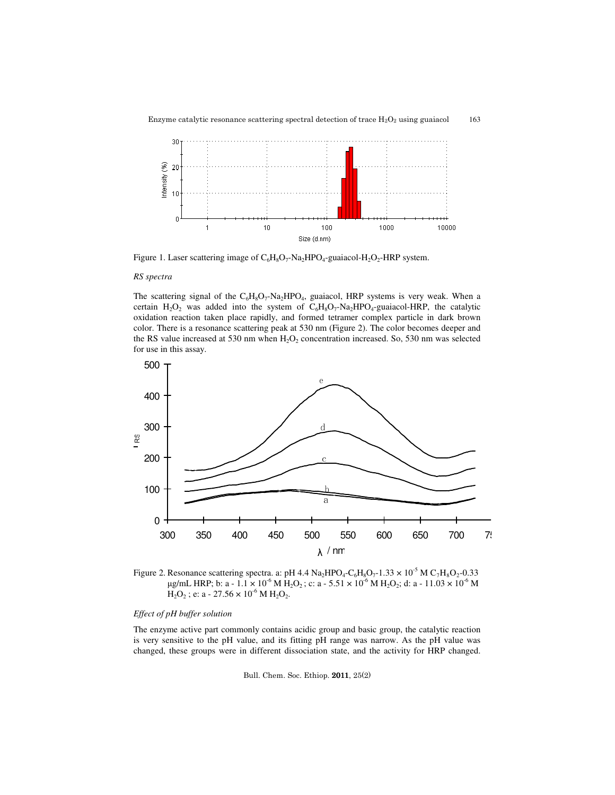

163

Enzyme catalytic resonance scattering spectral detection of trace  $H_2O_2$  using guaiacol



Figure 1. Laser scattering image of  $C_6H_8O_7$ -Na<sub>2</sub>HPO<sub>4</sub>-guaiacol-H<sub>2</sub>O<sub>2</sub>-HRP system.

# *RS spectra*

The scattering signal of the  $C_6H_8O_7$ -Na<sub>2</sub>HPO<sub>4</sub>, guaiacol, HRP systems is very weak. When a certain  $H_2O_2$  was added into the system of  $C_6H_8O_7-Na_2HPO_4$ -guaiacol-HRP, the catalytic oxidation reaction taken place rapidly, and formed tetramer complex particle in dark brown color. There is a resonance scattering peak at 530 nm (Figure 2). The color becomes deeper and the RS value increased at 530 nm when  $H_2O_2$  concentration increased. So, 530 nm was selected for use in this assay.



Figure 2. Resonance scattering spectra. a: pH 4.4  $\text{Na}_2\text{HPO}_4\text{-C}_6\text{H}_8\text{O}_7\text{-}1.33 \times 10^{-5} \text{M C}_7\text{H}_8\text{O}_2\text{-}0.33$ µg/mL HRP; b: a -  $1.1 \times 10^{-6}$  M H<sub>2</sub>O<sub>2</sub>; c: a -  $5.51 \times 10^{-6}$  M H<sub>2</sub>O<sub>2</sub>; d: a -  $11.03 \times 10^{-6}$  M  $H_2O_2$ ; e: a - 27.56 × 10<sup>-6</sup> M  $H_2O_2$ .

# *Effect of pH buffer solution*

The enzyme active part commonly contains acidic group and basic group, the catalytic reaction is very sensitive to the pH value, and its fitting pH range was narrow. As the pH value was changed, these groups were in different dissociation state, and the activity for HRP changed.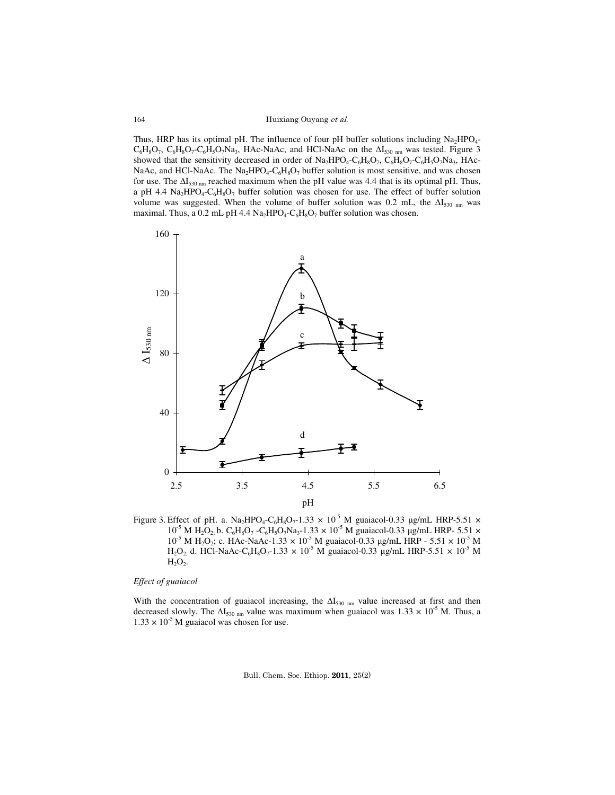Thus, HRP has its optimal pH. The influence of four pH buffer solutions including  $Na<sub>2</sub>HPO<sub>4</sub>$  $C_6H_8O_7$ ,  $C_6H_8O_7-C_6H_5O_7Na_3$ , HAc-NaAc, and HCl-NaAc on the  $\Delta I_{530 \text{ nm}}$  was tested. Figure 3 showed that the sensitivity decreased in order of  $Na<sub>2</sub>HPO<sub>4</sub>-C<sub>6</sub>H<sub>8</sub>O<sub>7</sub>, C<sub>6</sub>H<sub>8</sub>O<sub>7</sub>-C<sub>6</sub>H<sub>5</sub>O<sub>7</sub>Na<sub>3</sub>, HAc-$ NaAc, and HCl-NaAc. The  $Na<sub>2</sub>HPO<sub>4</sub>-C<sub>6</sub>H<sub>8</sub>O<sub>7</sub>$  buffer solution is most sensitive, and was chosen for use. The  $\Delta I_{530 \text{ nm}}$  reached maximum when the pH value was 4.4 that is its optimal pH. Thus, a pH 4.4  $\text{Na}_2\text{HPO}_4\text{-C}_6\text{H}_8\text{O}_7$  buffer solution was chosen for use. The effect of buffer solution volume was suggested. When the volume of buffer solution was 0.2 mL, the ΔI<sub>530 nm</sub> was maximal. Thus, a 0.2 mL pH 4.4  $\text{Na}_2\text{HPO}_4\text{-C}_6\text{H}_8\text{O}_7$  buffer solution was chosen.



Figure 3. Effect of pH. a.  $Na<sub>2</sub>HPO<sub>4</sub>-C<sub>6</sub>H<sub>8</sub>O<sub>7</sub>-1.33 \times 10<sup>-5</sup>$  M guaiacol-0.33 µg/mL HRP-5.51  $\times$  $10^{5}$  M H<sub>2</sub>O<sub>2;</sub> b. C<sub>6</sub>H<sub>8</sub>O<sub>7</sub> -C<sub>6</sub>H<sub>3</sub>O<sub>7</sub>Na<sub>3</sub>-1.33 × 10<sup>-5</sup> M guaiacol-0.33 µg/mL HRP- 5.51 ×  $10^{-5}$  M H<sub>2</sub>O<sub>2</sub>; c. HAc-NaAc-1.33  $\times 10^{-5}$  M guaiacol-0.33 µg/mL HRP - 5.51  $\times 10^{-5}$  M  $H_2O_2$ , d. HCl-NaAc-C<sub>6</sub>H<sub>8</sub>O<sub>7</sub>-1.33  $\times$  10<sup>-5</sup> M guaiacol-0.33 µg/mL HRP-5.51  $\times$  10<sup>-5</sup> M  $H_2O_2$ .

# *Effect of guaiacol*

With the concentration of guaiacol increasing, the  $\Delta I_{530 \text{ nm}}$  value increased at first and then decreased slowly. The  $\Delta I_{530 \text{ nm}}$  value was maximum when guaiacol was 1.33 × 10<sup>-5</sup> M. Thus, a  $1.33 \times 10^{-5}$  M guaiacol was chosen for use.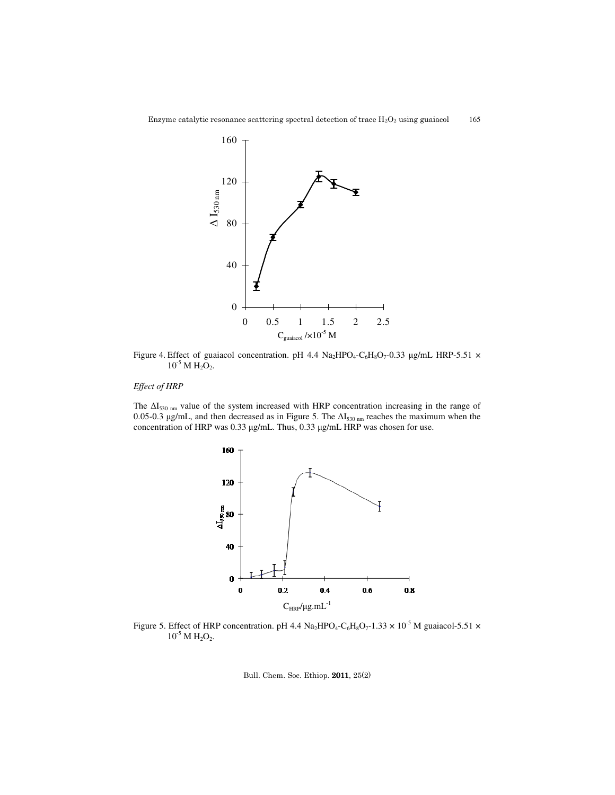

Enzyme catalytic resonance scattering spectral detection of trace  $H_2O_2$  using guaiacol 165

Figure 4. Effect of guaiacol concentration. pH 4.4  $\text{Na}_2\text{HPO}_4\text{-C}_6\text{H}_8\text{O}_7\text{-}0.33$  µg/mL HRP-5.51  $\times$  $10^{-5}$  M H<sub>2</sub>O<sub>2</sub>.

# *Effect of HRP*

The ΔI<sub>530 nm</sub> value of the system increased with HRP concentration increasing in the range of 0.05-0.3 µg/mL, and then decreased as in Figure 5. The  $\Delta I_{530 \text{ nm}}$  reaches the maximum when the concentration of HRP was 0.33 µg/mL. Thus, 0.33 µg/mL HRP was chosen for use.



Figure 5. Effect of HRP concentration. pH 4.4  $Na<sub>2</sub>HPO<sub>4</sub>-C<sub>6</sub>H<sub>8</sub>O<sub>7</sub>$ -1.33  $\times$  10<sup>-5</sup> M guaiacol-5.51  $\times$  $10^{-5}$  M H<sub>2</sub>O<sub>2</sub>.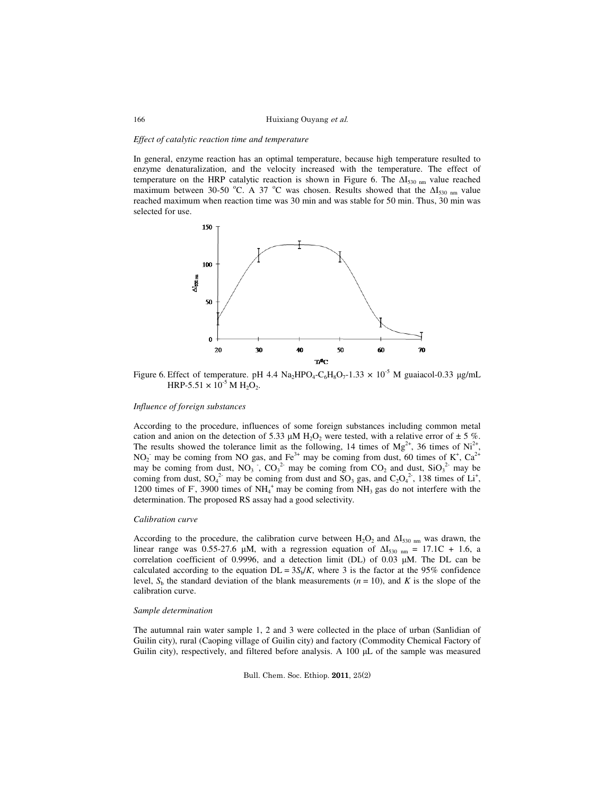### *Effect of catalytic reaction time and temperature*

In general, enzyme reaction has an optimal temperature, because high temperature resulted to enzyme denaturalization, and the velocity increased with the temperature. The effect of temperature on the HRP catalytic reaction is shown in Figure 6. The  $\Delta I_{530 \text{ nm}}$  value reached maximum between 30-50 °C. A 37 °C was chosen. Results showed that the  $\Delta I_{530 \text{ nm}}$  value reached maximum when reaction time was 30 min and was stable for 50 min. Thus, 30 min was selected for use.



Figure 6. Effect of temperature. pH 4.4  $\text{Na}_2\text{HPO}_4\text{-C}_6\text{H}_8\text{O}_7\text{-}1.33 \times 10^{-5}$  M guaiacol-0.33  $\mu\text{g/mL}$ HRP-5.51  $\times$  10<sup>-5</sup> M H<sub>2</sub>O<sub>2</sub>.

### *Influence of foreign substances*

According to the procedure, influences of some foreign substances including common metal cation and anion on the detection of 5.33  $\mu$ M H<sub>2</sub>O<sub>2</sub> were tested, with a relative error of  $\pm$  5 %. The results showed the tolerance limit as the following, 14 times of  $Mg^{2+}$ , 36 times of Ni<sup>2+</sup>,  $NO_2$ <sup>-</sup> may be coming from NO gas, and Fe<sup>3+</sup> may be coming from dust, 60 times of K<sup>+</sup>, Ca<sup>2+</sup> may be coming from dust,  $NO_3$ ,  $CO_3^2$  may be coming from  $CO_2$  and dust,  $SiO_3^2$  may be coming from dust,  $SO_4^2$  may be coming from dust and  $SO_3$  gas, and  $C_2O_4^2$ , 138 times of Li<sup>+</sup>, 1200 times of  $F$ , 3900 times of  $NH_4^+$  may be coming from  $NH_3$  gas do not interfere with the determination. The proposed RS assay had a good selectivity.

### *Calibration curve*

According to the procedure, the calibration curve between  $H_2O_2$  and  $\Delta I_{530 \text{ nm}}$  was drawn, the linear range was 0.55-27.6 µM, with a regression equation of  $\Delta I_{530 \text{ nm}} = 17.1 \text{C} + 1.6$ , a correlation coefficient of 0.9996, and a detection limit (DL) of 0.03  $\mu$ M. The DL can be calculated according to the equation  $DL = 3S_b/K$ , where 3 is the factor at the 95% confidence level,  $S_b$  the standard deviation of the blank measurements ( $n = 10$ ), and K is the slope of the calibration curve.

## *Sample determination*

The autumnal rain water sample 1, 2 and 3 were collected in the place of urban (Sanlidian of Guilin city), rural (Caoping village of Guilin city) and factory (Commodity Chemical Factory of Guilin city), respectively, and filtered before analysis. A  $100 \mu L$  of the sample was measured

Bull. Chem. Soc. Ethiop. 2011, 25(2)

166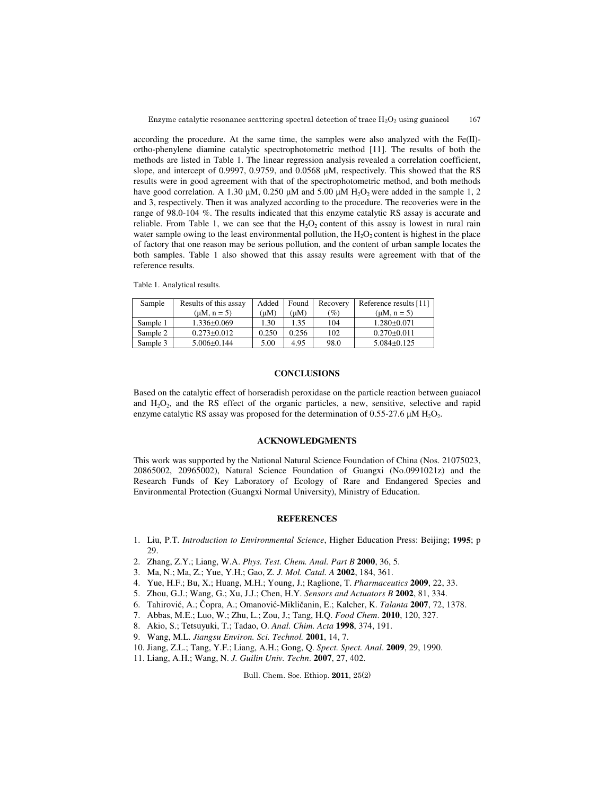according the procedure. At the same time, the samples were also analyzed with the  $Fe(II)$ ortho-phenylene diamine catalytic spectrophotometric method [11]. The results of both the methods are listed in Table 1. The linear regression analysis revealed a correlation coefficient, slope, and intercept of 0.9997, 0.9759, and 0.0568 µM, respectively. This showed that the RS results were in good agreement with that of the spectrophotometric method, and both methods have good correlation. A 1.30  $\mu$ M, 0.250  $\mu$ M and 5.00  $\mu$ M H<sub>2</sub>O<sub>2</sub> were added in the sample 1, 2 and 3, respectively. Then it was analyzed according to the procedure. The recoveries were in the range of 98.0-104 %. The results indicated that this enzyme catalytic RS assay is accurate and reliable. From Table 1, we can see that the  $H_2O_2$  content of this assay is lowest in rural rain water sample owing to the least environmental pollution, the  $H_2O_2$  content is highest in the place of factory that one reason may be serious pollution, and the content of urban sample locates the both samples. Table 1 also showed that this assay results were agreement with that of the reference results.

Table 1. Analytical results.

| Sample   | Results of this assay | Added | Found | Recovery | Reference results [11] |
|----------|-----------------------|-------|-------|----------|------------------------|
|          | $(\mu M, n = 5)$      | (uM)  | (uM)  | (%)      | $(\mu M, n = 5)$       |
| Sample 1 | $1.336 \pm 0.069$     | 1.30  | 1.35  | 104      | $1.280 \pm 0.071$      |
| Sample 2 | $0.273 \pm 0.012$     | 0.250 | 0.256 | 102      | $0.270 \pm 0.011$      |
| Sample 3 | $5.006 \pm 0.144$     | 5.00  | 4.95  | 98.0     | $5.084\pm0.125$        |

# **CONCLUSIONS**

Based on the catalytic effect of horseradish peroxidase on the particle reaction between guaiacol and  $H_2O_2$ , and the RS effect of the organic particles, a new, sensitive, selective and rapid enzyme catalytic RS assay was proposed for the determination of  $0.55$ -27.6  $\mu$ M H<sub>2</sub>O<sub>2</sub>.

# **ACKNOWLEDGMENTS**

This work was supported by the National Natural Science Foundation of China (Nos. 21075023, 20865002, 20965002), Natural Science Foundation of Guangxi (No.0991021z) and the Research Funds of Key Laboratory of Ecology of Rare and Endangered Species and Environmental Protection (Guangxi Normal University), Ministry of Education.

# **REFERENCES**

- 1. Liu, P.T. *Introduction to Environmental Science*, Higher Education Press: Beijing; **1995**; p 29.
- 2. Zhang, Z.Y.; Liang, W.A. *Phys. Test. Chem. Anal. Part B* **2000**, 36, 5.
- 3. Ma, N.; Ma, Z.; Yue, Y.H.; Gao, Z. *J. Mol. Catal. A* **2002**, 184, 361.
- 4. Yue, H.F.; Bu, X.; Huang, M.H.; Young, J.; Raglione, T. *Pharmaceutics* **2009**, 22, 33.
- 5. Zhou, G.J.; Wang, G.; Xu, J.J.; Chen, H.Y. *Sensors and Actuators B* **2002**, 81, 334.
- 6. Tahirović, A.; Čopra, A.; Omanović-Mikličanin, E.; Kalcher, K. *Talanta* **2007**, 72, 1378.
- 7. Abbas, M.E.; Luo, W.; Zhu, L.; Zou, J.; Tang, H.Q. *Food Chem*. **2010**, 120, 327.
- 8. Akio, S.; Tetsuyuki, T.; Tadao, O. *Anal. Chim. Acta* **1998**, 374, 191.
- 9. Wang, M.L. *Jiangsu Environ. Sci. Technol.* **2001**, 14, 7.
- 10. Jiang, Z.L.; Tang, Y.F.; Liang, A.H.; Gong, Q. *Spect. Spect. Anal*. **2009**, 29, 1990.
- 11. Liang, A.H.; Wang, N. *J. Guilin Univ. Techn*. **2007**, 27, 402.